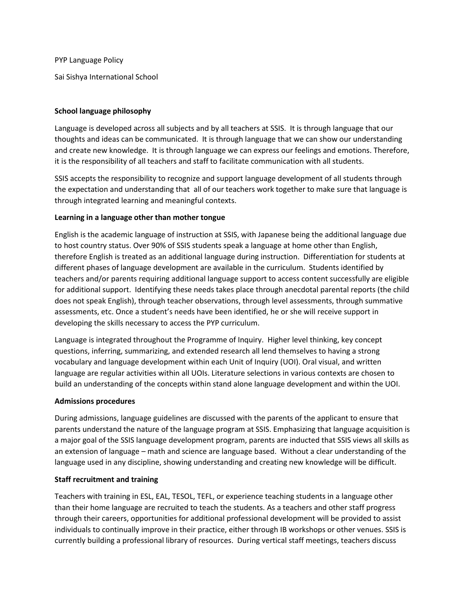PYP Language Policy

Sai Sishya International School

## **School language philosophy**

Language is developed across all subjects and by all teachers at SSIS. It is through language that our thoughts and ideas can be communicated. It is through language that we can show our understanding and create new knowledge. It is through language we can express our feelings and emotions. Therefore, it is the responsibility of all teachers and staff to facilitate communication with all students.

SSIS accepts the responsibility to recognize and support language development of all students through the expectation and understanding that all of our teachers work together to make sure that language is through integrated learning and meaningful contexts.

### **Learning in a language other than mother tongue**

English is the academic language of instruction at SSIS, with Japanese being the additional language due to host country status. Over 90% of SSIS students speak a language at home other than English, therefore English is treated as an additional language during instruction. Differentiation for students at different phases of language development are available in the curriculum. Students identified by teachers and/or parents requiring additional language support to access content successfully are eligible for additional support. Identifying these needs takes place through anecdotal parental reports (the child does not speak English), through teacher observations, through level assessments, through summative assessments, etc. Once a student's needs have been identified, he or she will receive support in developing the skills necessary to access the PYP curriculum.

Language is integrated throughout the Programme of Inquiry. Higher level thinking, key concept questions, inferring, summarizing, and extended research all lend themselves to having a strong vocabulary and language development within each Unit of Inquiry (UOI). Oral visual, and written language are regular activities within all UOIs. Literature selections in various contexts are chosen to build an understanding of the concepts within stand alone language development and within the UOI.

### **Admissions procedures**

During admissions, language guidelines are discussed with the parents of the applicant to ensure that parents understand the nature of the language program at SSIS. Emphasizing that language acquisition is a major goal of the SSIS language development program, parents are inducted that SSIS views all skills as an extension of language – math and science are language based. Without a clear understanding of the language used in any discipline, showing understanding and creating new knowledge will be difficult.

### **Staff recruitment and training**

Teachers with training in ESL, EAL, TESOL, TEFL, or experience teaching students in a language other than their home language are recruited to teach the students. As a teachers and other staff progress through their careers, opportunities for additional professional development will be provided to assist individuals to continually improve in their practice, either through IB workshops or other venues. SSIS is currently building a professional library of resources. During vertical staff meetings, teachers discuss